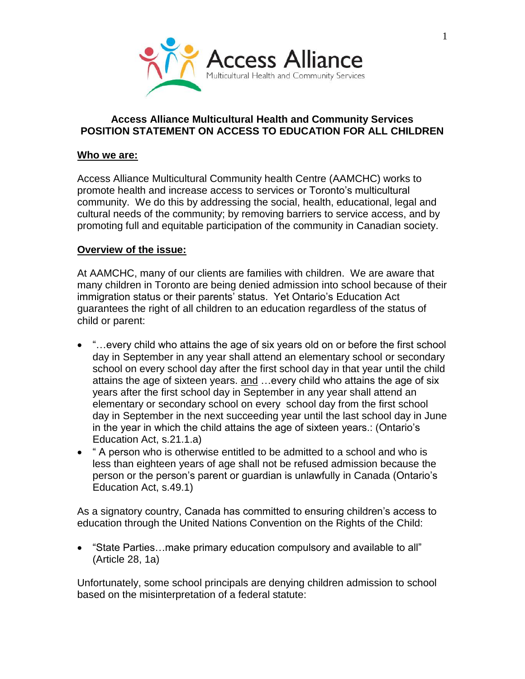

## **Access Alliance Multicultural Health and Community Services POSITION STATEMENT ON ACCESS TO EDUCATION FOR ALL CHILDREN**

## **Who we are:**

Access Alliance Multicultural Community health Centre (AAMCHC) works to promote health and increase access to services or Toronto's multicultural community. We do this by addressing the social, health, educational, legal and cultural needs of the community; by removing barriers to service access, and by promoting full and equitable participation of the community in Canadian society.

## **Overview of the issue:**

At AAMCHC, many of our clients are families with children. We are aware that many children in Toronto are being denied admission into school because of their immigration status or their parents' status. Yet Ontario's Education Act guarantees the right of all children to an education regardless of the status of child or parent:

- "...every child who attains the age of six years old on or before the first school day in September in any year shall attend an elementary school or secondary school on every school day after the first school day in that year until the child attains the age of sixteen years. and …every child who attains the age of six years after the first school day in September in any year shall attend an elementary or secondary school on every school day from the first school day in September in the next succeeding year until the last school day in June in the year in which the child attains the age of sixteen years.: (Ontario's Education Act, s.21.1.a)
- " A person who is otherwise entitled to be admitted to a school and who is less than eighteen years of age shall not be refused admission because the person or the person's parent or guardian is unlawfully in Canada (Ontario's Education Act, s.49.1)

As a signatory country, Canada has committed to ensuring children's access to education through the United Nations Convention on the Rights of the Child:

 "State Parties…make primary education compulsory and available to all" (Article 28, 1a)

Unfortunately, some school principals are denying children admission to school based on the misinterpretation of a federal statute: